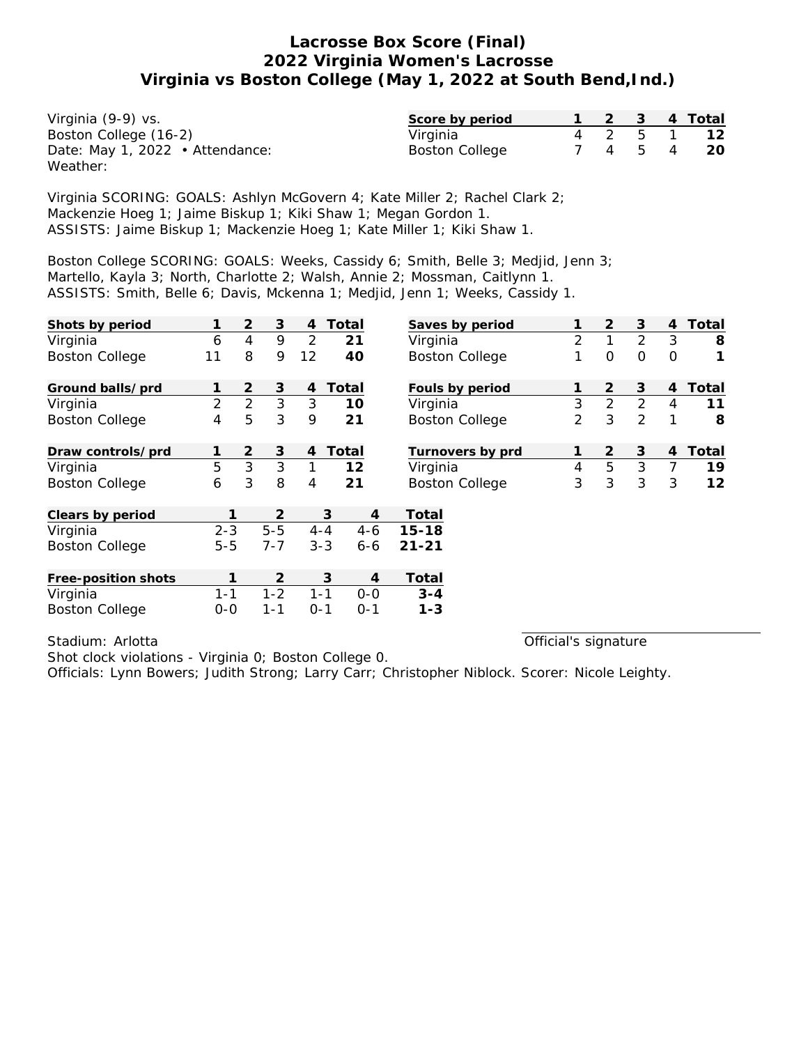| Virginia (9-9) vs.              | Score by period       |  |  | 1 2 3 4 Total |
|---------------------------------|-----------------------|--|--|---------------|
| Boston College (16-2)           | Virginia              |  |  | 4 2 5 1 12    |
| Date: May 1, 2022 • Attendance: | <b>Boston College</b> |  |  | 7 4 5 4 20    |
| Weather:                        |                       |  |  |               |

Virginia SCORING: GOALS: Ashlyn McGovern 4; Kate Miller 2; Rachel Clark 2; Mackenzie Hoeg 1; Jaime Biskup 1; Kiki Shaw 1; Megan Gordon 1. ASSISTS: Jaime Biskup 1; Mackenzie Hoeg 1; Kate Miller 1; Kiki Shaw 1.

Boston College SCORING: GOALS: Weeks, Cassidy 6; Smith, Belle 3; Medjid, Jenn 3; Martello, Kayla 3; North, Charlotte 2; Walsh, Annie 2; Mossman, Caitlynn 1. ASSISTS: Smith, Belle 6; Davis, Mckenna 1; Medjid, Jenn 1; Weeks, Cassidy 1.

| Shots by period       |                | $\overline{2}$ | 3       | 4              | Total              | Saves by period       |                | $\overline{2}$ | 3              | 4              | Total |
|-----------------------|----------------|----------------|---------|----------------|--------------------|-----------------------|----------------|----------------|----------------|----------------|-------|
| Virginia              | 6              | $\overline{4}$ | 9       | 2              | 21                 | Virginia              | $\overline{2}$ | $\mathbf{1}$   | $\overline{2}$ | 3              | 8     |
| <b>Boston College</b> | 11             | 8              | 9       | 12             | 40                 | <b>Boston College</b> | 1              | $\mathbf 0$    | $\Omega$       | $\Omega$       | 1     |
| Ground balls/prd      |                | $\overline{2}$ | 3       | 4              | Total              | Fouls by period       | 1              | 2              | 3              | 4              | Total |
| Virginia              | $\overline{2}$ | $\overline{2}$ | 3       | 3              | 10                 | Virginia              | 3              | $\overline{2}$ | $\overline{2}$ | 4              | 11    |
| <b>Boston College</b> | 4              | 5              | 3       | 9              | 21                 | <b>Boston College</b> | 2              | 3              | $\overline{2}$ | 1              | 8     |
| Draw controls/prd     |                | $\overline{2}$ | 3       | $\overline{4}$ | Total              | Turnovers by prd      | 1              | 2              | 3              | 4              | Total |
| Virginia              | 5              | 3              | 3       | 1              | 12                 | Virginia              | 4              | 5              | 3              | $\overline{7}$ | 19    |
| <b>Boston College</b> | 6              | 3              | 8       | 4              | 21                 | <b>Boston College</b> | 3              | 3              | 3              | 3              | 12    |
| Clears by period      |                |                | 2       |                | 3                  | Total<br>4            |                |                |                |                |       |
| Virginia              | $2 - 3$        |                | $5 - 5$ |                | $4 - 4$<br>$4-6$   | $15 - 18$             |                |                |                |                |       |
| <b>Boston College</b> | $5 - 5$        |                | $7 - 7$ |                | $3 - 3$<br>$6 - 6$ | $21 - 21$             |                |                |                |                |       |
| Free-position shots   | 1              |                | 2       |                | 3                  | Total<br>4            |                |                |                |                |       |
| Virginia              | $1 - 1$        |                | $1 - 2$ | $1 - 1$        | $0 - 0$            | $3 - 4$               |                |                |                |                |       |
| <b>Boston College</b> | $0 - 0$        |                | $1 - 1$ | $O - 1$        | $0 - 1$            | $1 - 3$               |                |                |                |                |       |

Stadium: Arlotta

Official's signature

Shot clock violations - Virginia 0; Boston College 0.

Officials: Lynn Bowers; Judith Strong; Larry Carr; Christopher Niblock. Scorer: Nicole Leighty.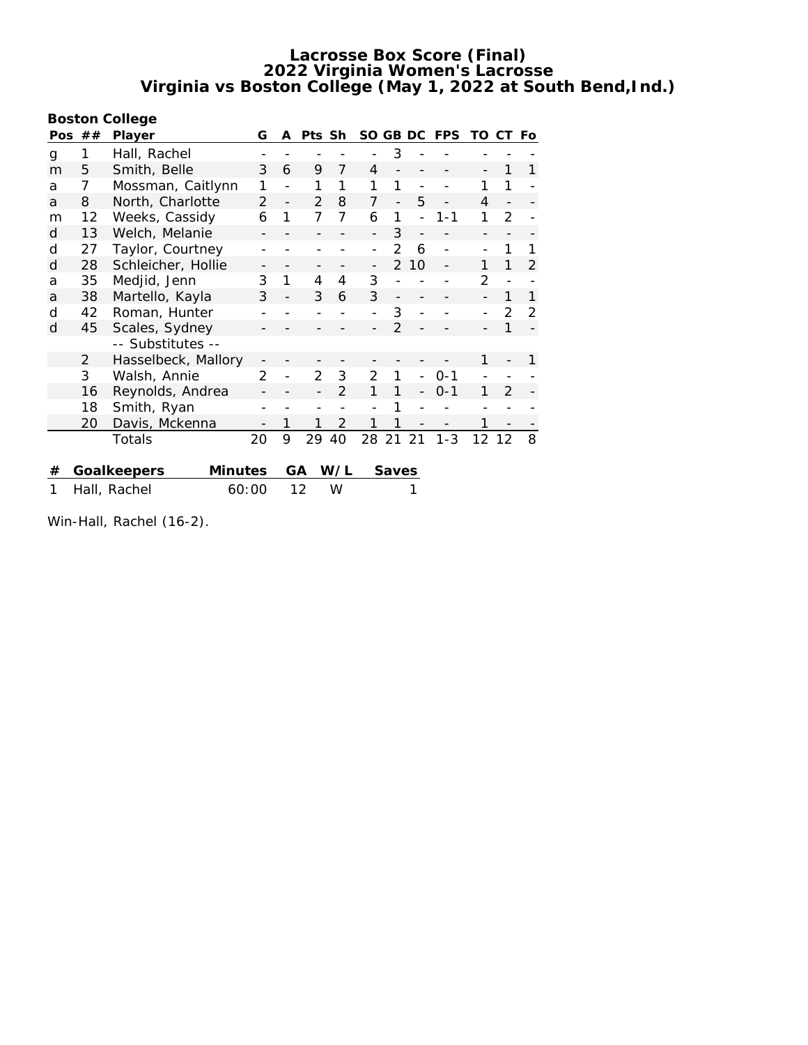**Boston College**

| Pos | ##                    | Player                        | G              | A              | Pts Sh        |                | SO GB DC       |               |    | <b>FPS</b> | TO | СT             | Fo            |
|-----|-----------------------|-------------------------------|----------------|----------------|---------------|----------------|----------------|---------------|----|------------|----|----------------|---------------|
| g   | 1                     | Hall, Rachel                  |                |                |               |                |                | 3             |    |            |    |                |               |
| m   | 5                     | Smith, Belle                  | 3              | 6              | 9             | 7              | 4              |               |    |            |    | 1              | 1             |
| a   | 7                     | Mossman, Caitlynn             | 1              |                | 1             | 1              | 1              |               |    |            | 1  | 1              |               |
| a   | 8                     | North, Charlotte              | $\mathcal{P}$  | $\overline{a}$ | $\mathcal{P}$ | 8              | 7              |               | 5  |            | 4  |                |               |
| m   | 12                    | Weeks, Cassidy                | 6              | 1              | 7             | 7              | 6              | 1             |    | $1 - 1$    | 1  | $\overline{2}$ |               |
| d   | 13                    | Welch, Melanie                |                |                |               |                |                | 3             |    |            |    |                |               |
| d   | 27                    | Taylor, Courtney              |                |                |               |                |                | 2             | 6  |            |    | 1              |               |
| d   | 28                    | Schleicher, Hollie            |                |                |               |                |                | $\mathcal{P}$ | 10 |            | 1  |                | 2             |
| a   | 35                    | Medjid, Jenn                  | 3              | 1              | 4             | 4              | 3              |               |    |            | 2  |                |               |
| a   | 38                    | Martello, Kayla               | 3              |                | 3             | 6              | 3              |               |    |            |    | 1              | 1             |
| d   | 42                    | Roman, Hunter                 |                |                |               |                |                | 3             |    |            |    | 2              | $\mathcal{P}$ |
| d   | 45                    | Scales, Sydney                |                |                |               |                |                | $\mathcal{P}$ |    |            |    | 1              |               |
|     |                       | -- Substitutes --             |                |                |               |                |                |               |    |            |    |                |               |
|     | 2                     | Hasselbeck, Mallory           |                |                |               |                |                |               |    |            | 1  |                | 1             |
|     | 3                     | Walsh, Annie                  | $\overline{2}$ |                | 2             | 3              | $\overline{2}$ |               |    | $0 - 1$    |    |                |               |
|     | 16                    | Reynolds, Andrea              |                |                |               | $\overline{2}$ | 1              |               |    | $0 - 1$    | 1  | 2              |               |
|     | 18                    | Smith, Ryan                   |                |                |               |                |                |               |    |            |    |                |               |
|     | 20                    | Davis, Mckenna                |                | 1              |               | $\overline{2}$ |                |               |    |            | 1  |                |               |
|     |                       | Totals                        | 20             | 9              | 29            | 40             | 28             | 21            | 21 | $1 - 3$    | 12 | 12             | 8             |
|     |                       |                               |                |                |               |                |                |               |    |            |    |                |               |
| #   |                       | <b>Minutes</b><br>Goalkeepers |                |                | GА            | W/L            |                | Saves         |    |            |    |                |               |
| 1   | 60:00<br>Hall, Rachel |                               |                | 12<br>W        |               |                |                |               |    |            |    |                |               |

Win-Hall, Rachel (16-2).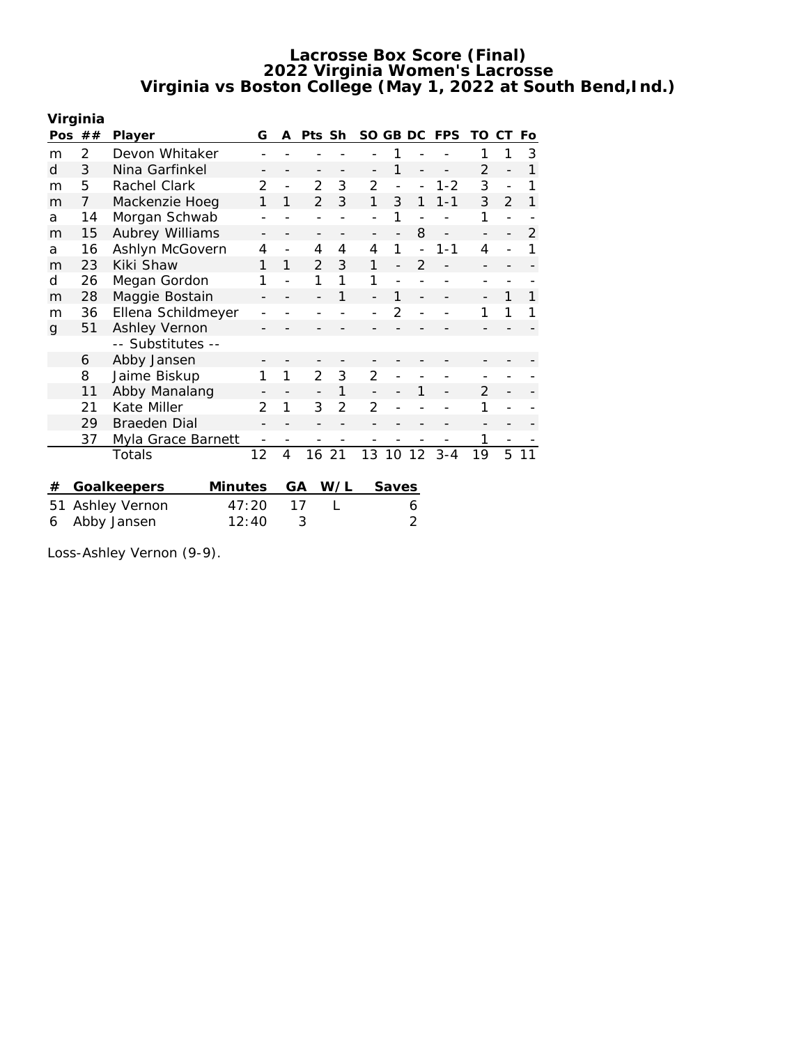|    | Virginia      |                        |               |    |                |                |                |                |                |            |                   |               |    |
|----|---------------|------------------------|---------------|----|----------------|----------------|----------------|----------------|----------------|------------|-------------------|---------------|----|
|    | Pos $##$      | Player                 | G             | A  | Pts Sh         |                | SO GB DC       |                |                | <b>FPS</b> | TO                | СT            | Fo |
| m  | $\mathcal{P}$ | Devon Whitaker         |               |    |                |                |                | 1              |                |            | 1                 | 1             | 3  |
| d  | 3             | Nina Garfinkel         |               |    |                |                |                | 1              |                |            | $\overline{2}$    |               | 1  |
| m  | 5             | Rachel Clark           | 2             |    | 2              | 3              | 2              |                |                | $1 - 2$    | 3                 |               |    |
| m  | 7             | Mackenzie Hoeg         | 1             | 1  | $\mathcal{P}$  | 3              | 1              | 3              | 1              | $1 - 1$    | 3                 | $\mathcal{P}$ | 1  |
| a  | 14            | Morgan Schwab          |               |    |                |                |                | 1              |                |            | 1                 |               |    |
| m  | 15            | Aubrey Williams        |               |    | -              |                |                |                | 8              |            | $\qquad \qquad -$ |               | 2  |
| a  | 16            | Ashlyn McGovern        | 4             |    | 4              | 4              | 4              | 1              |                | $1 - 1$    | 4                 |               |    |
| m  | 23            | Kiki Shaw              | 1             | 1  | $\mathfrak{D}$ | 3              | 1              |                | $\overline{2}$ |            |                   |               |    |
| d  | 26            | Megan Gordon           | 1             |    | 1              | 1              | 1              |                |                |            |                   |               |    |
| m  | 28            | Maggie Bostain         |               |    |                | 1              |                |                |                |            |                   | 1             |    |
| m  | 36            | Ellena Schildmeyer     |               |    |                |                |                | $\mathfrak{D}$ |                |            | 1                 | 1             |    |
| g  | 51            | Ashley Vernon          |               |    |                |                |                |                |                |            |                   |               |    |
|    |               | -- Substitutes --      |               |    |                |                |                |                |                |            |                   |               |    |
|    | 6             | Abby Jansen            |               |    |                |                |                |                |                |            |                   |               |    |
|    | 8             | Jaime Biskup           | 1             | 1  | 2              | 3              | $\overline{2}$ |                |                |            |                   |               |    |
|    | 11            | Abby Manalang          |               |    |                | 1              |                |                | 1              |            | $\overline{2}$    |               |    |
|    | 21            | Kate Miller            | $\mathcal{P}$ | 1  | 3              | $\overline{2}$ | $\overline{2}$ |                |                |            | 1                 |               |    |
|    | 29            | <b>Braeden Dial</b>    |               |    |                |                |                |                |                |            |                   |               |    |
|    | 37            | Myla Grace Barnett     |               |    |                |                |                |                |                |            | 1                 |               |    |
|    |               | Totals                 | 12            | 4  | 16             | -21            | 13 10          |                | 12             | $3 - 4$    | 19                | 5             | 11 |
|    |               |                        |               |    |                |                |                |                |                |            |                   |               |    |
| #  |               | Minutes<br>Goalkeepers |               | GA |                | W/L            |                | Saves          |                |            |                   |               |    |
| 51 | Ashley Vernon |                        | 47:20         |    | 17             | L              |                |                | 6              |            |                   |               |    |
| 6  | Abby Jansen   |                        | 12:40         |    | 3              |                |                |                | 2              |            |                   |               |    |

Loss-Ashley Vernon (9-9).